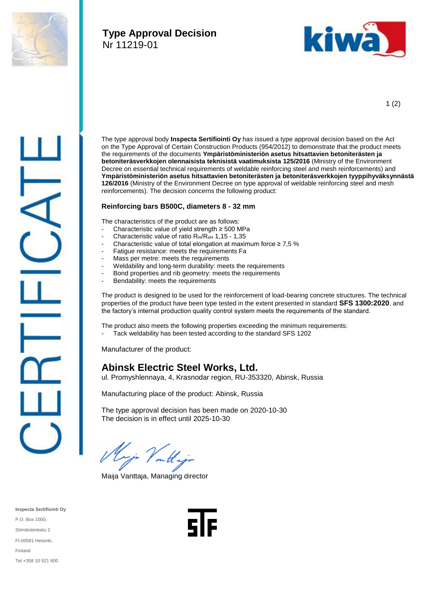

## **Type Approval Decision** Nr 11219-01



1 (2)



The type approval body **Inspecta Sertifiointi Oy** has issued a type approval decision based on the Act on the Type Approval of Certain Construction Products (954/2012) to demonstrate that the product meets the requirements of the documents **Ympäristöministeriön asetus hitsattavien betoniterästen ja betoniteräsverkkojen olennaisista teknisistä vaatimuksista 125/2016** (Ministry of the Environment Decree on essential technical requirements of weldable reinforcing steel and mesh reinforcements) and **Ympäristöministeriön asetus hitsattavien betoniterästen ja betoniteräsverkkojen tyyppihyväksynnästä 126/2016** (Ministry of the Environment Decree on type approval of weldable reinforcing steel and mesh reinforcements). The decision concerns the following product:

## **Reinforcing bars B500C, diameters 8 - 32 mm**

The characteristics of the product are as follows:

- Characteristic value of yield strength  $\geq$  500 MPa
- Characteristic value of ratio  $R_m/R_{eH}$  1,15 1,35
- Characteristic value of total elongation at maximum force  $\geq 7.5$  %
- Fatigue resistance: meets the requirements Fa
- Mass per metre: meets the requirements
- Weldability and long-term durability: meets the requirements
- Bond properties and rib geometry: meets the requirements
- Bendability: meets the requirements

The product is designed to be used for the reinforcement of load-bearing concrete structures. The technical properties of the product have been type tested in the extent presented in standard **SFS 1300:2020**, and the factory's internal production quality control system meets the requirements of the standard.

The product also meets the following properties exceeding the minimum requirements:

- Tack weldability has been tested according to the standard SFS 1202

Manufacturer of the product:

## **Abinsk Electric Steel Works, Ltd.**

ul. Promyshlennaya, 4, Krasnodar region, RU-353320, Abinsk, Russia

Manufacturing place of the product: Abinsk, Russia

The type approval decision has been made on 2020-10-30 The decision is in effect until 2025-10-30

mjo Valta

Maija Vanttaja, Managing director

**Inspecta Sertifiointi Oy** P.O. Box 1000, Sörnäistenkatu 2 FI-00581 Helsinki, Finland Tel.+358 10 521 600